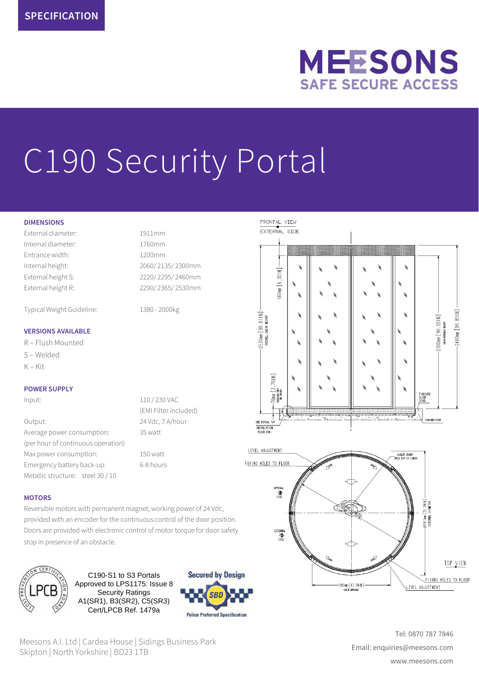# **MEESONS SAFE SECURE ACCESS**

# C190 Security Portal

#### **DIMENSIONS**

External diameter: 1911mm Internal diameter: 1760mm Entrance width: 1200mm Internal height: 2060/ 2135/ 2300mm External height S: 2220/ 2295/ 2460mm External height R: 2290/ 2365/ 2530mm

Typical Weight Guideline: 1380 - 2000kg

#### **VERSIONS AVAILABLE**

R – Flush Mounted S – Welded

 $K - K$ it

#### **POWER SUPPLY**

Output: 24 Vdc, 7 A/hour Average power consumption: 35 watt (per hour of continuous operation) Max power consumption: 150 watt Emergency battery back-up: 6-8 hours Metallic structure: steel 30 / 10

Input: 110 / 230 VAC (EMI Filter included)

#### **MOTORS**

Reversible motors with permanent magnet, working power of 24 Vdc, provided with an encoder for the continuous control of the door position. Doors are provided with electronic control of motor torque for door safety stop in presence of an obstacle.



C190-S1 to S3 Portals Approved to LPS1175: Issue 8 Security Ratings A1(SR1), B3(SR2), C5(SR3) Cert/LPCB Ref. 1479a



Meesons A.I. Ltd | Cardea House | Sidings Business Park Skipton | North Yorkshire | BD23 1TB





Tel: 0870 787 7846 Email: enquiries@meesons.com www.meesons.com